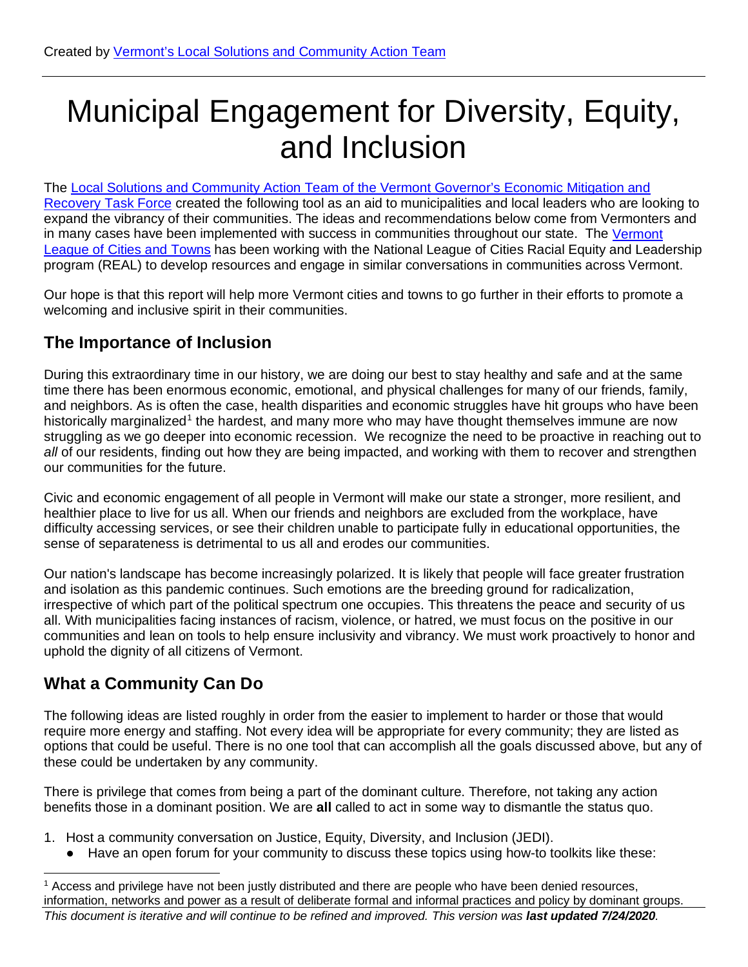# Municipal Engagement for Diversity, Equity, and Inclusion

The Local Solutions and Community Action Team of the Vermont Governor's Economic Mitigation and [Recovery Task Force](https://accd.vermont.gov/covid-19/economic-mitigation-and-recovery-task-force) created the following tool as an aid to municipalities and local leaders who are looking to expand the vibrancy of their communities. The ideas and recommendations below come from Vermonters and in many cases have been implemented with success in communities throughout our state. The Vermont [League of Cities and Towns](https://www.vlct.org/) has been working with the National League of Cities Racial Equity and Leadership program (REAL) to develop resources and engage in similar conversations in communities across Vermont.

Our hope is that this report will help more Vermont cities and towns to go further in their efforts to promote a welcoming and inclusive spirit in their communities.

## **The Importance of Inclusion**

During this extraordinary time in our history, we are doing our best to stay healthy and safe and at the same time there has been enormous economic, emotional, and physical challenges for many of our friends, family, and neighbors. As is often the case, health disparities and economic struggles have hit groups who have been historically marginalized<sup>[1](#page-0-0)</sup> the hardest, and many more who may have thought themselves immune are now struggling as we go deeper into economic recession. We recognize the need to be proactive in reaching out to *all* of our residents, finding out how they are being impacted, and working with them to recover and strengthen our communities for the future.

Civic and economic engagement of all people in Vermont will make our state a stronger, more resilient, and healthier place to live for us all. When our friends and neighbors are excluded from the workplace, have difficulty accessing services, or see their children unable to participate fully in educational opportunities, the sense of separateness is detrimental to us all and erodes our communities.

Our nation's landscape has become increasingly polarized. It is likely that people will face greater frustration and isolation as this pandemic continues. Such emotions are the breeding ground for radicalization, irrespective of which part of the political spectrum one occupies. This threatens the peace and security of us all. With municipalities facing instances of racism, violence, or hatred, we must focus on the positive in our communities and lean on tools to help ensure inclusivity and vibrancy. We must work proactively to honor and uphold the dignity of all citizens of Vermont.

## **What a Community Can Do**

The following ideas are listed roughly in order from the easier to implement to harder or those that would require more energy and staffing. Not every idea will be appropriate for every community; they are listed as options that could be useful. There is no one tool that can accomplish all the goals discussed above, but any of these could be undertaken by any community.

There is privilege that comes from being a part of the dominant culture. Therefore, not taking any action benefits those in a dominant position. We are **all** called to act in some way to dismantle the status quo.

- 1. Host a community conversation on Justice, Equity, Diversity, and Inclusion (JEDI).
	- Have an open forum for your community to discuss these topics using how-to toolkits like these:

<span id="page-0-0"></span> $1$  Access and privilege have not been justly distributed and there are people who have been denied resources, information, networks and power as a result of deliberate formal and informal practices and policy by dominant groups.

```
This document is iterative and will continue to be refined and improved. This version was last updated 7/24/2020.
```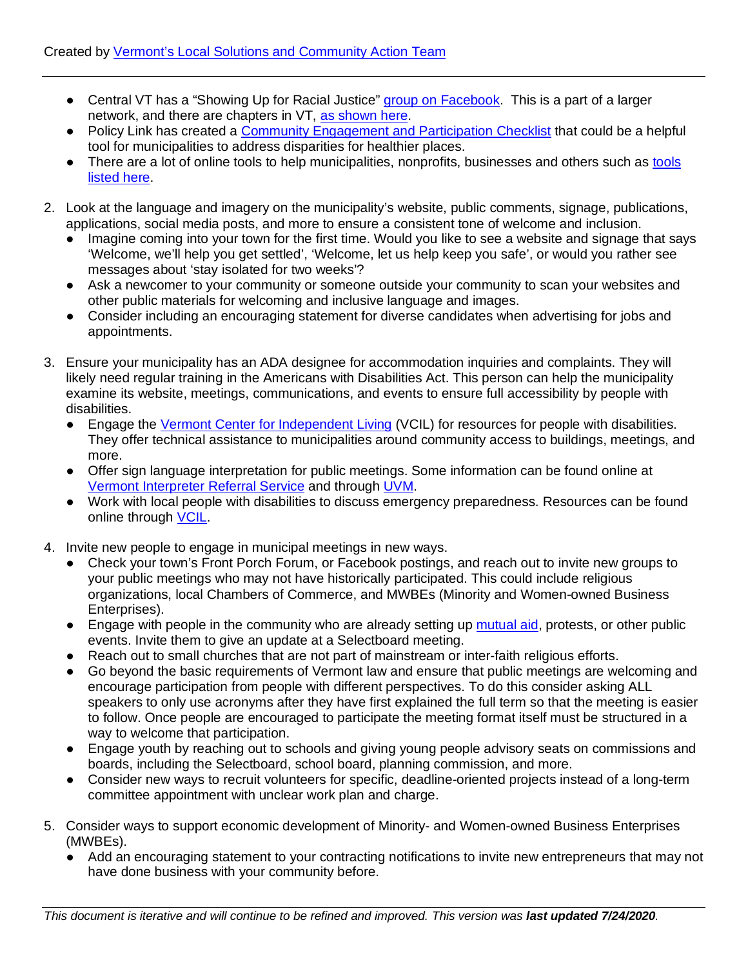- Central VT has a "Showing Up for Racial Justice" [group on Facebook.](https://www.facebook.com/CVtSURJ) This is a part of a larger network, and there are chapters in VT, [as shown here.](https://www.showingupforracialjustice.org/?fbclid=IwAR37wbxvuXV5kBmgO3jvAwdtalO6Q-PzgGfeB655Q3JB-cO5m0bahRZYj8k)
- Policy Link has created a [Community Engagement and Participation Checklist](file://NTWRKServer/staff/vhfa/Policy/Other%20Board%20Materials/Local%20and%20Community%20Solutions%20Team/%E2%97%8F%09https:/www.policylink.org/sites/default/files/COMMUNITY%20ENGAGEMENT%20CHECKLIST.pdf) that could be a helpful tool for municipalities to address disparities for healthier places.
- There are a lot of online [tools](https://www.racialequitytools.org/act/strategies/organizational-change-processes) to help municipalities, nonprofits, businesses and others such as tools [listed here.](https://www.racialequitytools.org/act/strategies/organizational-change-processes)
- 2. Look at the language and imagery on the municipality's website, public comments, signage, publications, applications, social media posts, and more to ensure a consistent tone of welcome and inclusion.
	- Imagine coming into your town for the first time. Would you like to see a website and signage that says 'Welcome, we'll help you get settled', 'Welcome, let us help keep you safe', or would you rather see messages about 'stay isolated for two weeks'?
	- Ask a newcomer to your community or someone outside your community to scan your websites and other public materials for welcoming and inclusive language and images.
	- Consider including an encouraging statement for diverse candidates when advertising for jobs and appointments.
- 3. Ensure your municipality has an ADA designee for accommodation inquiries and complaints. They will likely need regular training in the Americans with Disabilities Act. This person can help the municipality examine its website, meetings, communications, and events to ensure full accessibility by people with disabilities.
	- Engage the [Vermont Center for Independent Living](http://www.vcil.org/services/community-access/training) (VCIL) for resources for people with disabilities. They offer technical assistance to municipalities around community access to buildings, meetings, and more.
	- Offer sign language interpretation for public meetings. Some information can be found online at Vermont Interpreter Referral Service and through [UVM.](https://www.uvm.edu/myaccess/?Page=asl_cart/asl_cart.html&SM=asl_cart/asl_cartSubmenu.html)
	- Work with local people with disabilities to discuss emergency preparedness. Resources can be found online through **VCIL**.
- 4. Invite new people to engage in municipal meetings in new ways.
	- Check your town's Front Porch Forum, or Facebook postings, and reach out to invite new groups to your public meetings who may not have historically participated. This could include religious organizations, local Chambers of Commerce, and MWBEs (Minority and Women-owned Business Enterprises).
	- Engage with people in the community who are already setting up [mutual aid,](file://NTWRKServer/staff/vhfa/Policy/Other%20Board%20Materials/Local%20and%20Community%20Solutions%20Team/Peace%20and%20Justice%20Center%20has%20a%20list%20of%20mutual%20aid%20societies%20%E2%80%93%20may%20not%20be%20the%20most%20up%20to%20date%20https:/www.pjcvt.org/mutual-aid-and-other-resources-related-to-covid-19/) protests, or other public events. Invite them to give an update at a Selectboard meeting.
	- Reach out to small churches that are not part of mainstream or inter-faith religious efforts.
	- Go beyond the basic requirements of Vermont law and ensure that public meetings are welcoming and encourage participation from people with different perspectives. To do this consider asking ALL speakers to only use acronyms after they have first explained the full term so that the meeting is easier to follow. Once people are encouraged to participate the meeting format itself must be structured in a way to welcome that participation.
	- Engage youth by reaching out to schools and giving young people advisory seats on commissions and boards, including the Selectboard, school board, planning commission, and more.
	- Consider new ways to recruit volunteers for specific, deadline-oriented projects instead of a long-term committee appointment with unclear work plan and charge.
- 5. Consider ways to support economic development of Minority- and Women-owned Business Enterprises (MWBEs).
	- Add an encouraging statement to your contracting notifications to invite new entrepreneurs that may not have done business with your community before.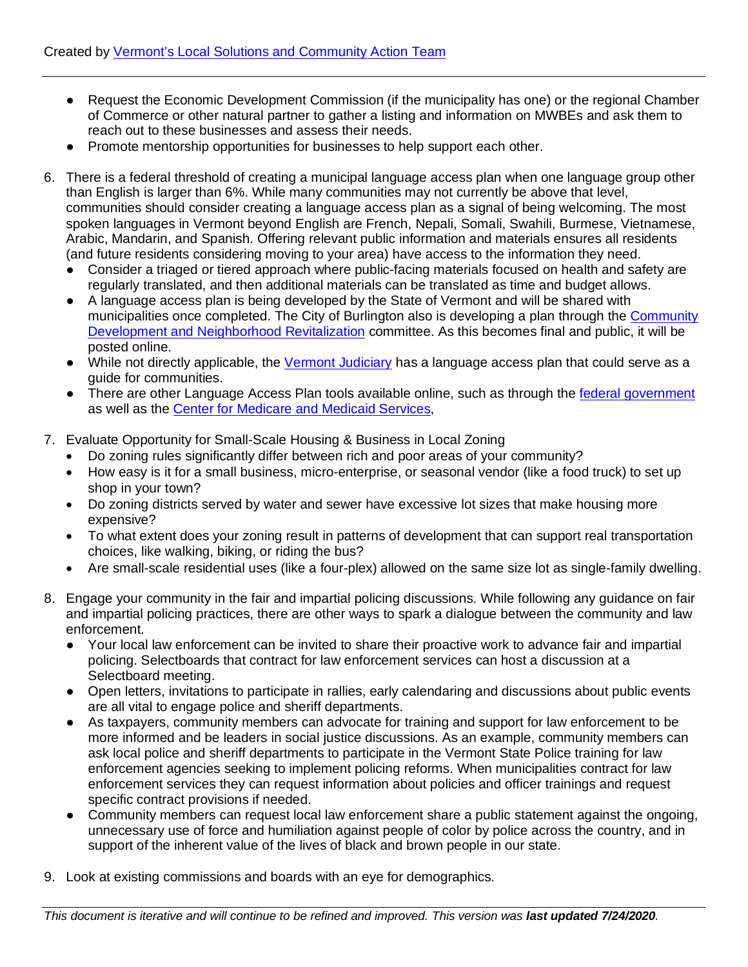- Request the Economic Development Commission (if the municipality has one) or the regional Chamber of Commerce or other natural partner to gather a listing and information on MWBEs and ask them to reach out to these businesses and assess their needs.
- Promote mentorship opportunities for businesses to help support each other.
- 6. There is a federal threshold of creating a municipal language access plan when one language group other than English is larger than 6%. While many communities may not currently be above that level, communities should consider creating a language access plan as a signal of being welcoming. The most spoken languages in Vermont beyond English are French, Nepali, Somali, Swahili, Burmese, Vietnamese, Arabic, Mandarin, and Spanish. Offering relevant public information and materials ensures all residents (and future residents considering moving to your area) have access to the information they need.
	- Consider a triaged or tiered approach where public-facing materials focused on health and safety are regularly translated, and then additional materials can be translated as time and budget allows.
	- A language access plan is being developed by the State of Vermont and will be shared with municipalities once completed. The City of Burlington also is developing a plan through the [Community](https://www.burlingtonvt.gov/CityCouncil/CEDONeighborhoodRevitalizationCommittee)  [Development and Neighborhood Revitalization](https://www.burlingtonvt.gov/CityCouncil/CEDONeighborhoodRevitalizationCommittee) committee. As this becomes final and public, it will be posted online.
	- While not directly applicable, the [Vermont Judiciary](https://www.vermontjudiciary.org/sites/default/files/documents/2017-01-03_-_Language_Access_Plan.pdf) has a language access plan that could serve as a guide for communities.
	- There are other Language Access Plan tools available online, such as through the [federal government](https://www.lep.gov/language-access-planning) as well as the [Center for Medicare and Medicaid Services,](https://www.cms.gov/About-CMS/Agency-Information/OMH/Downloads/Language-Access-Plan.pdf)
- 7. Evaluate Opportunity for Small-Scale Housing & Business in Local Zoning
	- Do zoning rules significantly differ between rich and poor areas of your community?
	- How easy is it for a small business, micro-enterprise, or seasonal vendor (like a food truck) to set up shop in your town?
	- Do zoning districts served by water and sewer have excessive lot sizes that make housing more expensive?
	- To what extent does your zoning result in patterns of development that can support real transportation choices, like walking, biking, or riding the bus?
	- Are small-scale residential uses (like a four-plex) allowed on the same size lot as single-family dwelling.
- 8. Engage your community in the fair and impartial policing discussions. While following any guidance on fair and impartial policing practices, there are other ways to spark a dialogue between the community and law enforcement.
	- Your local law enforcement can be invited to share their proactive work to advance fair and impartial policing. Selectboards that contract for law enforcement services can host a discussion at a Selectboard meeting.
	- Open letters, invitations to participate in rallies, early calendaring and discussions about public events are all vital to engage police and sheriff departments.
	- As taxpayers, community members can advocate for training and support for law enforcement to be more informed and be leaders in social justice discussions. As an example, community members can ask local police and sheriff departments to participate in the Vermont State Police training for law enforcement agencies seeking to implement policing reforms. When municipalities contract for law enforcement services they can request information about policies and officer trainings and request specific contract provisions if needed.
	- Community members can request local law enforcement share a public statement against the ongoing, unnecessary use of force and humiliation against people of color by police across the country, and in support of the inherent value of the lives of black and brown people in our state.
- 9. Look at existing commissions and boards with an eye for demographics.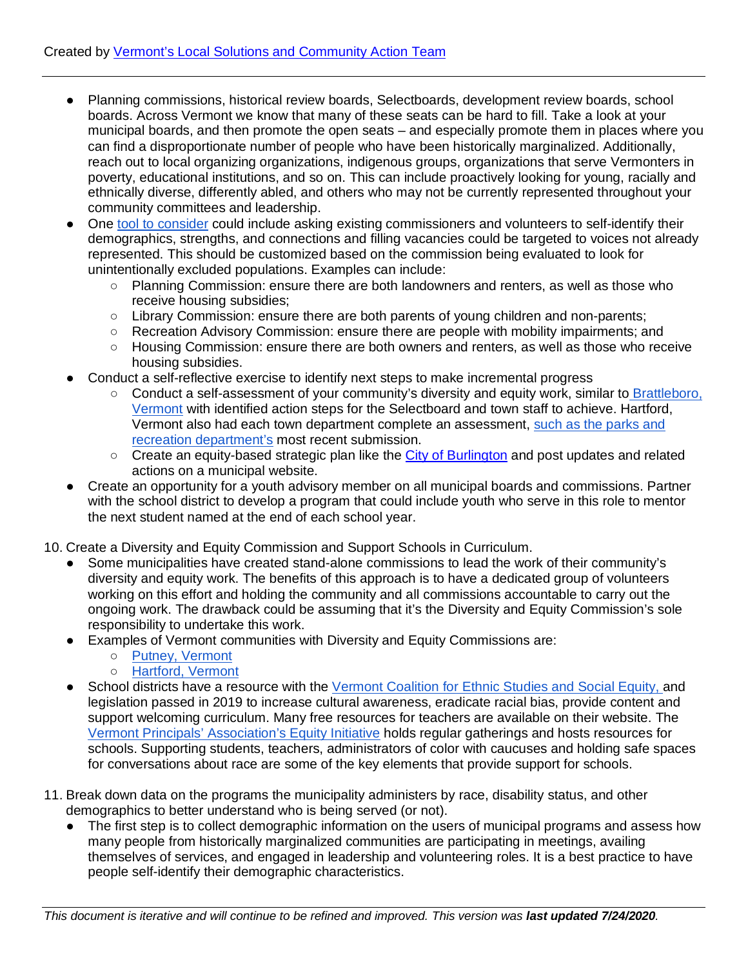- Planning commissions, historical review boards, Selectboards, development review boards, school boards. Across Vermont we know that many of these seats can be hard to fill. Take a look at your municipal boards, and then promote the open seats – and especially promote them in places where you can find a disproportionate number of people who have been historically marginalized. Additionally, reach out to local organizing organizations, indigenous groups, organizations that serve Vermonters in poverty, educational institutions, and so on. This can include proactively looking for young, racially and ethnically diverse, differently abled, and others who may not be currently represented throughout your community committees and leadership.
- One [tool to consider](https://urldefense.proofpoint.com/v2/url?u=https-3A__www.vtrural.org_sites_default_files_content_documents_MuniDemographics.pdf&d=DwMFaQ&c=euGZstcaTDllvimEN8b7jXrwqOf-v5A_CdpgnVfiiMM&r=bn139wHVzdVTYecqiCGdR6ke-6W2n8UG9e7GafFkEF8&m=_KE9IfWElzqnTFJGIdRY56cdcgnjiQZ3oCGpb2Gjoa0&s=XGo-hpPfGQowOjZapyhAYWrUZ6p9u27EgNV6eCMW8jM&e=) could include asking existing commissioners and volunteers to self-identify their demographics, strengths, and connections and filling vacancies could be targeted to voices not already represented. This should be customized based on the commission being evaluated to look for unintentionally excluded populations. Examples can include:
	- Planning Commission: ensure there are both landowners and renters, as well as those who receive housing subsidies;
	- Library Commission: ensure there are both parents of young children and non-parents;
	- Recreation Advisory Commission: ensure there are people with mobility impairments; and
	- Housing Commission: ensure there are both owners and renters, as well as those who receive housing subsidies.
- Conduct a self-reflective exercise to identify next steps to make incremental progress
	- Conduct a self-assessment of your community's diversity and equity work, similar to Brattleboro, [Vermont](https://www.brattleboro.org/vertical/Sites/%7BFABA8FB3-EBD9-4E2C-91F9-C74DE6CECDFD%7D/uploads/memo9-14-17.pdf) with identified action steps for the Selectboard and town staff to achieve. Hartford, Vermont also had each town department complete an assessment, such as the [parks and](https://www.hartford-vt.org/DocumentCenter/View/2713/413-EquityAuditFinal20-Parks-Recreation?bidId=)  [recreation department's](https://www.hartford-vt.org/DocumentCenter/View/2713/413-EquityAuditFinal20-Parks-Recreation?bidId=) most recent submission.
	- Create an equity-based strategic plan like the [City of Burlington](https://www.burlingtonvt.gov/CEDO/Equity-Programming) and post updates and related actions on a municipal website.
- Create an opportunity for a youth advisory member on all municipal boards and commissions. Partner with the school district to develop a program that could include youth who serve in this role to mentor the next student named at the end of each school year.

10. Create a Diversity and Equity Commission and Support Schools in Curriculum.

- Some municipalities have created stand-alone commissions to lead the work of their community's diversity and equity work. The benefits of this approach is to have a dedicated group of volunteers working on this effort and holding the community and all commissions accountable to carry out the ongoing work. The drawback could be assuming that it's the Diversity and Equity Commission's sole responsibility to undertake this work.
- Examples of Vermont communities with Diversity and Equity Commissions are:
	- [Putney, Vermont](https://www.reformer.com/stories/putney-board-oks-equity-and-inclusion-committee,583997)
	- [Hartford, Vermont](https://www.hartford-vt.org/agendacenter/hartford-committee-on-racial-equity--inclusion-31/?#06172020-1577)
- School districts have a resource with the [Vermont Coalition for Ethnic Studies and Social Equity, a](http://ethnicstudiesvt.org/)nd legislation passed in 2019 to increase cultural awareness, eradicate racial bias, provide content and support welcoming curriculum. Many free resources for teachers are available on their website. The [Vermont Principals' Association's Equity Initiative](https://vpaonline.org/leaders/vpa-equity-initiative/) holds regular gatherings and hosts resources for schools. Supporting students, teachers, administrators of color with caucuses and holding safe spaces for conversations about race are some of the key elements that provide support for schools.
- 11. Break down data on the programs the municipality administers by race, disability status, and other demographics to better understand who is being served (or not).
	- The first step is to collect demographic information on the users of municipal programs and assess how many people from historically marginalized communities are participating in meetings, availing themselves of services, and engaged in leadership and volunteering roles. It is a best practice to have people self-identify their demographic characteristics.